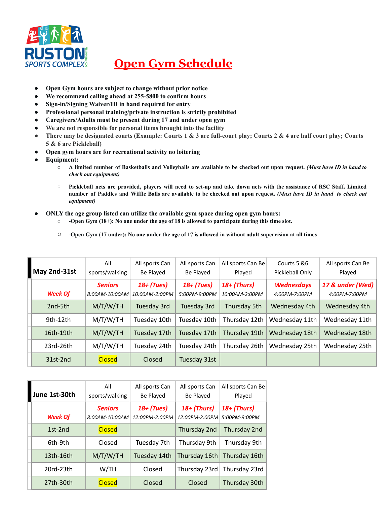

## **Open Gym Schedule**

- **● Open Gym hours are subject to change without prior notice**
- **● We recommend calling ahead at 255-5800 to confirm hours**
- **● Sign-in/Signing Waiver/ID in hand required for entry**
- **● Professional personal training/private instruction is strictly prohibited**
- **● Caregivers/Adults must be present during 17 and under open gym**
- **● We are not responsible for personal items brought into the facility**
- There may be designated courts (Example: Courts 1 & 3 are full-court play; Courts 2 & 4 are half court play; Courts **5 & 6 are Pickleball)**
- **● Open gym hours are for recreational activity no loitering**
- **● Equipment:**
	- A limited number of Basketballs and Volleyballs are available to be checked out upon request. (Must have ID in hand to *check out equipment)*
	- O Pickleball nets are provided, players will need to set-up and take down nets with the assistance of RSC Staff. Limited number of Paddles and Wiffle Balls are available to be checked out upon request. (Must have ID in hand to check out *equipment)*
- **● ONLY the age group listed can utilize the available gym space during open gym hours:**
	- **○ -Open Gym (18+): No one under the age of 18 is allowed to participate during this time slot.**
	- **○ -Open Gym (17 under): No one under the age of 17 is allowed in without adult supervision at all times**

| May 2nd-31st   | All<br>sports/walking            | All sports Can<br>Be Played    | All sports Can<br>Be Played   | All sports Can Be<br>Played     | Courts 5 & 6<br>Pickleball Only    | All sports Can Be<br>Played       |
|----------------|----------------------------------|--------------------------------|-------------------------------|---------------------------------|------------------------------------|-----------------------------------|
| <b>Week Of</b> | <b>Seniors</b><br>8:00AM-10:00AM | $18+$ (Tues)<br>10:00AM-2:00PM | $18+$ (Tues)<br>5:00PM-9:00PM | $18+$ (Thurs)<br>10:00AM-2:00PM | <b>Wednesdays</b><br>4:00PM-7:00PM | 17 & under (Wed)<br>4:00PM-7:00PM |
| 2nd-5th        | M/T/W/TH                         | Tuesday 3rd                    | Tuesday 3rd                   | Thursday 5th                    | Wednesday 4th                      | Wednesday 4th                     |
| 9th-12th       | M/T/W/TH                         | Tuesday 10th                   | Tuesday 10th                  | Thursday 12th                   | Wednesday 11th                     | Wednesday 11th                    |
| 16th-19th      | M/T/W/TH                         | Tuesday 17th                   | Tuesday 17th                  | Thursday 19th                   | Wednesday 18th                     | Wednesday 18th                    |
| $23rd-26th$    | M/T/W/TH                         | Tuesday 24th                   | Tuesday 24th                  | Thursday 26th                   | Wednesday 25th                     | Wednesday 25th                    |
| $31st-2nd$     | <b>Closed</b>                    | Closed                         | Tuesday 31st                  |                                 |                                    |                                   |

| June 1st-30th  | All<br>sports/walking            | All sports Can<br>Be Played    | All sports Can<br>Be Played     | All sports Can Be<br>Played    |
|----------------|----------------------------------|--------------------------------|---------------------------------|--------------------------------|
| <b>Week Of</b> | <b>Seniors</b><br>8:00AM-10:00AM | $18+$ (Tues)<br>12:00PM-2:00PM | $18+$ (Thurs)<br>12:00PM-2:00PM | $18+$ (Thurs)<br>5:00PM-9:00PM |
| $1st-2nd$      | <b>Closed</b>                    |                                | Thursday 2nd                    | Thursday 2nd                   |
| 6th-9th        | Closed                           | Tuesday 7th                    | Thursday 9th                    | Thursday 9th                   |
| 13th-16th      | M/T/W/TH                         | Tuesday 14th                   | Thursday 16th                   | Thursday 16th                  |
| 20rd-23th      | W/TH                             | Closed                         | Thursday 23rd                   | Thursday 23rd                  |
| 27th-30th      | <b>Closed</b>                    | Closed                         | Closed                          | Thursday 30th                  |